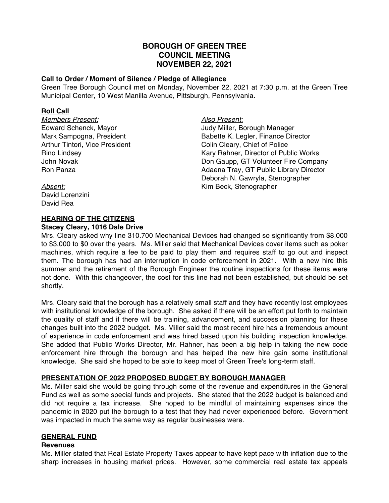# **BOROUGH OF GREEN TREE COUNCIL MEETING NOVEMBER 22, 2021**

### **Call to Order / Moment of Silence / Pledge of Allegiance**

Green Tree Borough Council met on Monday, November 22, 2021 at 7:30 p.m. at the Green Tree Municipal Center, 10 West Manilla Avenue, Pittsburgh, Pennsylvania.

### **Roll Call**

*Members Present: Also Present:* Arthur Tintori, Vice President Colin Cleary, Chief of Police

Edward Schenck, Mayor **Figure 20** Judy Miller, Borough Manager Mark Sampogna, President **Babette K. Legler, Finance Director** Rino Lindsey **Kary Rahner, Director of Public Works** Kary Rahner, Director of Public Works John Novak Don Gaupp, GT Volunteer Fire Company Ron Panza **Adaena Tray, GT Public Library Director** Deborah N. Gawryla, Stenographer *Absent:* Kim Beck, Stenographer

David Lorenzini David Rea

# **HEARING OF THE CITIZENS**

### **Stacey Cleary, 1016 Dale Drive**

Mrs. Cleary asked why line 310.700 Mechanical Devices had changed so significantly from \$8,000 to \$3,000 to \$0 over the years. Ms. Miller said that Mechanical Devices cover items such as poker machines, which require a fee to be paid to play them and requires staff to go out and inspect them. The borough has had an interruption in code enforcement in 2021. With a new hire this summer and the retirement of the Borough Engineer the routine inspections for these items were not done. With this changeover, the cost for this line had not been established, but should be set shortly.

Mrs. Cleary said that the borough has a relatively small staff and they have recently lost employees with institutional knowledge of the borough. She asked if there will be an effort put forth to maintain the quality of staff and if there will be training, advancement, and succession planning for these changes built into the 2022 budget. Ms. Miller said the most recent hire has a tremendous amount of experience in code enforcement and was hired based upon his building inspection knowledge. She added that Public Works Director, Mr. Rahner, has been a big help in taking the new code enforcement hire through the borough and has helped the new hire gain some institutional knowledge. She said she hoped to be able to keep most of Green Tree's long-term staff.

# **PRESENTATION OF 2022 PROPOSED BUDGET BY BOROUGH MANAGER**

Ms. Miller said she would be going through some of the revenue and expenditures in the General Fund as well as some special funds and projects. She stated that the 2022 budget is balanced and did not require a tax increase. She hoped to be mindful of maintaining expenses since the pandemic in 2020 put the borough to a test that they had never experienced before. Government was impacted in much the same way as regular businesses were.

# **GENERAL FUND**

### **Revenues**

Ms. Miller stated that Real Estate Property Taxes appear to have kept pace with inflation due to the sharp increases in housing market prices. However, some commercial real estate tax appeals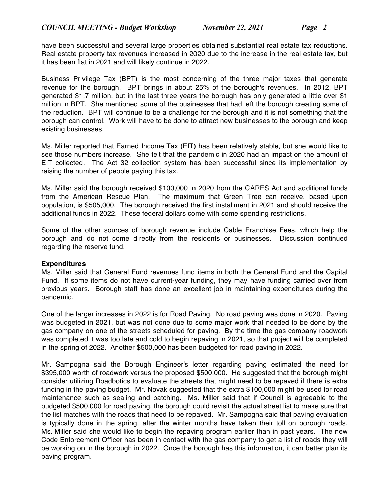have been successful and several large properties obtained substantial real estate tax reductions. Real estate property tax revenues increased in 2020 due to the increase in the real estate tax, but it has been flat in 2021 and will likely continue in 2022.

Business Privilege Tax (BPT) is the most concerning of the three major taxes that generate revenue for the borough. BPT brings in about 25% of the borough's revenues. In 2012, BPT generated \$1.7 million, but in the last three years the borough has only generated a little over \$1 million in BPT. She mentioned some of the businesses that had left the borough creating some of the reduction. BPT will continue to be a challenge for the borough and it is not something that the borough can control. Work will have to be done to attract new businesses to the borough and keep existing businesses.

Ms. Miller reported that Earned Income Tax (EIT) has been relatively stable, but she would like to see those numbers increase. She felt that the pandemic in 2020 had an impact on the amount of EIT collected. The Act 32 collection system has been successful since its implementation by raising the number of people paying this tax.

Ms. Miller said the borough received \$100,000 in 2020 from the CARES Act and additional funds from the American Rescue Plan. The maximum that Green Tree can receive, based upon population, is \$505,000. The borough received the first installment in 2021 and should receive the additional funds in 2022. These federal dollars come with some spending restrictions.

Some of the other sources of borough revenue include Cable Franchise Fees, which help the borough and do not come directly from the residents or businesses. Discussion continued regarding the reserve fund.

# **Expenditures**

Ms. Miller said that General Fund revenues fund items in both the General Fund and the Capital Fund. If some items do not have current-year funding, they may have funding carried over from previous years. Borough staff has done an excellent job in maintaining expenditures during the pandemic.

One of the larger increases in 2022 is for Road Paving. No road paving was done in 2020. Paving was budgeted in 2021, but was not done due to some major work that needed to be done by the gas company on one of the streets scheduled for paving. By the time the gas company roadwork was completed it was too late and cold to begin repaving in 2021, so that project will be completed in the spring of 2022. Another \$500,000 has been budgeted for road paving in 2022.

Mr. Sampogna said the Borough Engineer's letter regarding paving estimated the need for \$395,000 worth of roadwork versus the proposed \$500,000. He suggested that the borough might consider utilizing Roadbotics to evaluate the streets that might need to be repaved if there is extra funding in the paving budget. Mr. Novak suggested that the extra \$100,000 might be used for road maintenance such as sealing and patching. Ms. Miller said that if Council is agreeable to the budgeted \$500,000 for road paving, the borough could revisit the actual street list to make sure that the list matches with the roads that need to be repaved. Mr. Sampogna said that paving evaluation is typically done in the spring, after the winter months have taken their toll on borough roads. Ms. Miller said she would like to begin the repaving program earlier than in past years. The new Code Enforcement Officer has been in contact with the gas company to get a list of roads they will be working on in the borough in 2022. Once the borough has this information, it can better plan its paving program.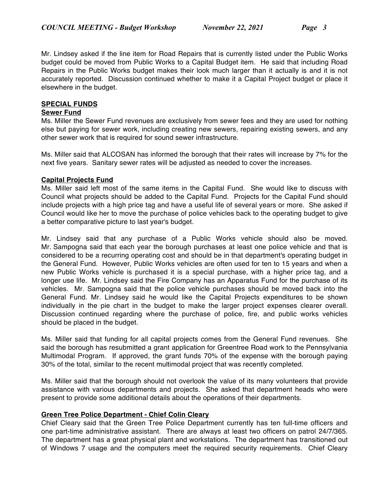Mr. Lindsey asked if the line item for Road Repairs that is currently listed under the Public Works budget could be moved from Public Works to a Capital Budget item. He said that including Road Repairs in the Public Works budget makes their look much larger than it actually is and it is not accurately reported. Discussion continued whether to make it a Capital Project budget or place it elsewhere in the budget.

### **SPECIAL FUNDS**

#### **Sewer Fund**

Ms. Miller the Sewer Fund revenues are exclusively from sewer fees and they are used for nothing else but paying for sewer work, including creating new sewers, repairing existing sewers, and any other sewer work that is required for sound sewer infrastructure.

Ms. Miller said that ALCOSAN has informed the borough that their rates will increase by 7% for the next five years. Sanitary sewer rates will be adjusted as needed to cover the increases.

### **Capital Projects Fund**

Ms. Miller said left most of the same items in the Capital Fund. She would like to discuss with Council what projects should be added to the Capital Fund. Projects for the Capital Fund should include projects with a high price tag and have a useful life of several years or more. She asked if Council would like her to move the purchase of police vehicles back to the operating budget to give a better comparative picture to last year's budget.

Mr. Lindsey said that any purchase of a Public Works vehicle should also be moved. Mr. Sampogna said that each year the borough purchases at least one police vehicle and that is considered to be a recurring operating cost and should be in that department's operating budget in the General Fund. However, Public Works vehicles are often used for ten to 15 years and when a new Public Works vehicle is purchased it is a special purchase, with a higher price tag, and a longer use life. Mr. Lindsey said the Fire Company has an Apparatus Fund for the purchase of its vehicles. Mr. Sampogna said that the police vehicle purchases should be moved back into the General Fund. Mr. Lindsey said he would like the Capital Projects expenditures to be shown individually in the pie chart in the budget to make the larger project expenses clearer overall. Discussion continued regarding where the purchase of police, fire, and public works vehicles should be placed in the budget.

Ms. Miller said that funding for all capital projects comes from the General Fund revenues. She said the borough has resubmitted a grant application for Greentree Road work to the Pennsylvania Multimodal Program. If approved, the grant funds 70% of the expense with the borough paying 30% of the total, similar to the recent multimodal project that was recently completed.

Ms. Miller said that the borough should not overlook the value of its many volunteers that provide assistance with various departments and projects. She asked that department heads who were present to provide some additional details about the operations of their departments.

### **Green Tree Police Department - Chief Colin Cleary**

Chief Cleary said that the Green Tree Police Department currently has ten full-time officers and one part-time administrative assistant. There are always at least two officers on patrol 24/7/365. The department has a great physical plant and workstations. The department has transitioned out of Windows 7 usage and the computers meet the required security requirements. Chief Cleary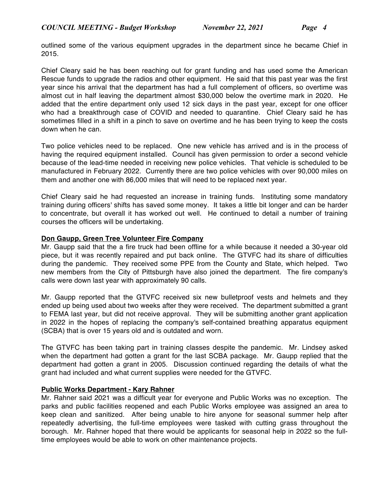outlined some of the various equipment upgrades in the department since he became Chief in 2015.

Chief Cleary said he has been reaching out for grant funding and has used some the American Rescue funds to upgrade the radios and other equipment. He said that this past year was the first year since his arrival that the department has had a full complement of officers, so overtime was almost cut in half leaving the department almost \$30,000 below the overtime mark in 2020. He added that the entire department only used 12 sick days in the past year, except for one officer who had a breakthrough case of COVID and needed to quarantine. Chief Cleary said he has sometimes filled in a shift in a pinch to save on overtime and he has been trying to keep the costs down when he can.

Two police vehicles need to be replaced. One new vehicle has arrived and is in the process of having the required equipment installed. Council has given permission to order a second vehicle because of the lead-time needed in receiving new police vehicles. That vehicle is scheduled to be manufactured in February 2022. Currently there are two police vehicles with over 90,000 miles on them and another one with 86,000 miles that will need to be replaced next year.

Chief Cleary said he had requested an increase in training funds. Instituting some mandatory training during officers' shifts has saved some money. It takes a little bit longer and can be harder to concentrate, but overall it has worked out well. He continued to detail a number of training courses the officers will be undertaking.

### **Don Gaupp, Green Tree Volunteer Fire Company**

Mr. Gaupp said that the a fire truck had been offline for a while because it needed a 30-year old piece, but it was recently repaired and put back online. The GTVFC had its share of difficulties during the pandemic. They received some PPE from the County and State, which helped. Two new members from the City of Pittsburgh have also joined the department. The fire company's calls were down last year with approximately 90 calls.

Mr. Gaupp reported that the GTVFC received six new bulletproof vests and helmets and they ended up being used about two weeks after they were received. The department submitted a grant to FEMA last year, but did not receive approval. They will be submitting another grant application in 2022 in the hopes of replacing the company's self-contained breathing apparatus equipment (SCBA) that is over 15 years old and is outdated and worn.

The GTVFC has been taking part in training classes despite the pandemic. Mr. Lindsey asked when the department had gotten a grant for the last SCBA package. Mr. Gaupp replied that the department had gotten a grant in 2005. Discussion continued regarding the details of what the grant had included and what current supplies were needed for the GTVFC.

# **Public Works Department - Kary Rahner**

Mr. Rahner said 2021 was a difficult year for everyone and Public Works was no exception. The parks and public facilities reopened and each Public Works employee was assigned an area to keep clean and sanitized. After being unable to hire anyone for seasonal summer help after repeatedly advertising, the full-time employees were tasked with cutting grass throughout the borough. Mr. Rahner hoped that there would be applicants for seasonal help in 2022 so the fulltime employees would be able to work on other maintenance projects.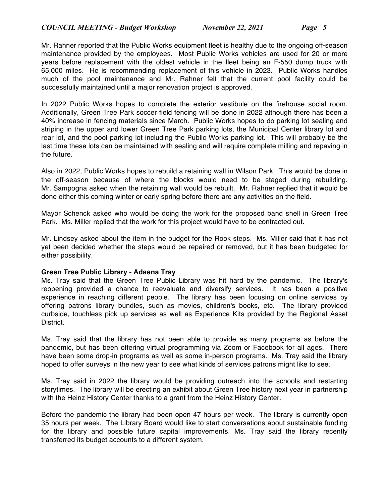Mr. Rahner reported that the Public Works equipment fleet is healthy due to the ongoing off-season maintenance provided by the employees. Most Public Works vehicles are used for 20 or more years before replacement with the oldest vehicle in the fleet being an F-550 dump truck with 65,000 miles. He is recommending replacement of this vehicle in 2023. Public Works handles much of the pool maintenance and Mr. Rahner felt that the current pool facility could be successfully maintained until a major renovation project is approved.

In 2022 Public Works hopes to complete the exterior vestibule on the firehouse social room. Additionally, Green Tree Park soccer field fencing will be done in 2022 although there has been a 40% increase in fencing materials since March. Public Works hopes to do parking lot sealing and striping in the upper and lower Green Tree Park parking lots, the Municipal Center library lot and rear lot, and the pool parking lot including the Public Works parking lot. This will probably be the last time these lots can be maintained with sealing and will require complete milling and repaving in the future.

Also in 2022, Public Works hopes to rebuild a retaining wall in Wilson Park. This would be done in the off-season because of where the blocks would need to be staged during rebuilding. Mr. Sampogna asked when the retaining wall would be rebuilt. Mr. Rahner replied that it would be done either this coming winter or early spring before there are any activities on the field.

Mayor Schenck asked who would be doing the work for the proposed band shell in Green Tree Park. Ms. Miller replied that the work for this project would have to be contracted out.

Mr. Lindsey asked about the item in the budget for the Rook steps. Ms. Miller said that it has not yet been decided whether the steps would be repaired or removed, but it has been budgeted for either possibility.

### **Green Tree Public Library - Adaena Tray**

Ms. Tray said that the Green Tree Public Library was hit hard by the pandemic. The library's reopening provided a chance to reevaluate and diversify services. It has been a positive experience in reaching different people. The library has been focusing on online services by offering patrons library bundles, such as movies, children's books, etc. The library provided curbside, touchless pick up services as well as Experience Kits provided by the Regional Asset District.

Ms. Tray said that the library has not been able to provide as many programs as before the pandemic, but has been offering virtual programming via Zoom or Facebook for all ages. There have been some drop-in programs as well as some in-person programs. Ms. Tray said the library hoped to offer surveys in the new year to see what kinds of services patrons might like to see.

Ms. Tray said in 2022 the library would be providing outreach into the schools and restarting storytimes. The library will be erecting an exhibit about Green Tree history next year in partnership with the Heinz History Center thanks to a grant from the Heinz History Center.

Before the pandemic the library had been open 47 hours per week. The library is currently open 35 hours per week. The Library Board would like to start conversations about sustainable funding for the library and possible future capital improvements. Ms. Tray said the library recently transferred its budget accounts to a different system.